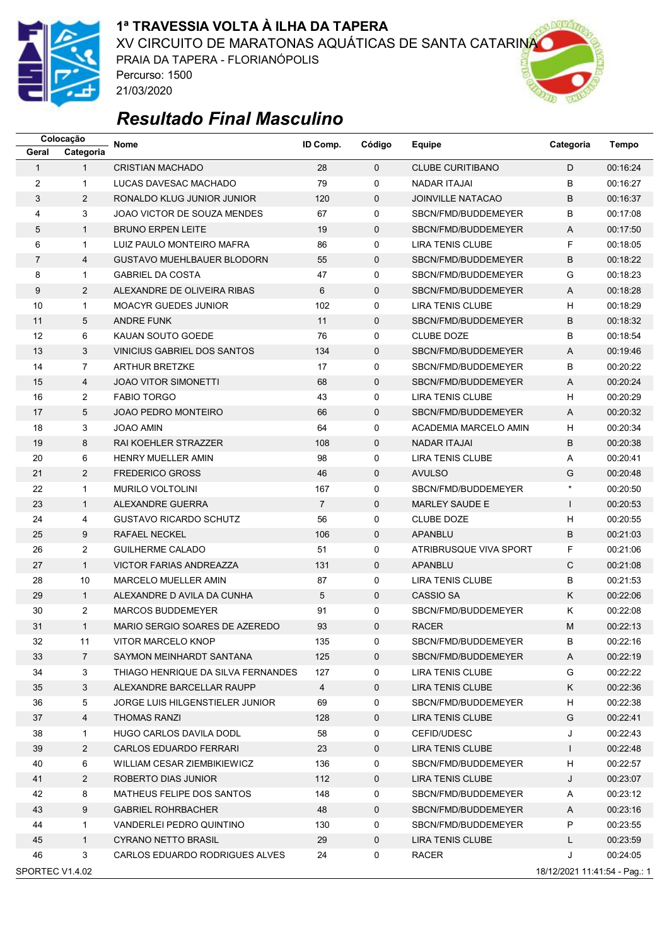

### **1ª TRAVESSIA VOLTA À ILHA DA TAPERA**

XV CIRCUITO DE MARATONAS AQUÁTICAS DE SANTA CATARINA

PRAIA DA TAPERA - FLORIANÓPOLIS Percurso: 1500 21/03/2020



|                 | Colocação      | <b>Nome</b>                        | ID Comp.       | Código      | Equipe                   | Categoria                     | Tempo    |
|-----------------|----------------|------------------------------------|----------------|-------------|--------------------------|-------------------------------|----------|
| Geral           | Categoria      |                                    |                |             |                          |                               |          |
| $\mathbf{1}$    | $\mathbf{1}$   | <b>CRISTIAN MACHADO</b>            | 28             | $\Omega$    | <b>CLUBE CURITIBANO</b>  | D                             | 00:16:24 |
| 2               | $\mathbf{1}$   | LUCAS DAVESAC MACHADO              | 79             | 0           | <b>NADAR ITAJAI</b>      | B                             | 00:16:27 |
| 3               | $\overline{2}$ | RONALDO KLUG JUNIOR JUNIOR         | 120            | $\mathbf 0$ | <b>JOINVILLE NATACAO</b> | B                             | 00:16:37 |
| 4               | 3              | JOAO VICTOR DE SOUZA MENDES        | 67             | 0           | SBCN/FMD/BUDDEMEYER      | B                             | 00:17:08 |
| 5               | $\mathbf{1}$   | <b>BRUNO ERPEN LEITE</b>           | 19             | $\mathbf 0$ | SBCN/FMD/BUDDEMEYER      | $\overline{A}$                | 00:17:50 |
| 6               | $\mathbf{1}$   | LUIZ PAULO MONTEIRO MAFRA          | 86             | 0           | <b>LIRA TENIS CLUBE</b>  | F                             | 00:18:05 |
| 7               | 4              | <b>GUSTAVO MUEHLBAUER BLODORN</b>  | 55             | $\mathbf 0$ | SBCN/FMD/BUDDEMEYER      | B                             | 00:18:22 |
| 8               | $\mathbf{1}$   | <b>GABRIEL DA COSTA</b>            | 47             | 0           | SBCN/FMD/BUDDEMEYER      | G                             | 00:18:23 |
| 9               | $\overline{2}$ | ALEXANDRE DE OLIVEIRA RIBAS        | 6              | 0           | SBCN/FMD/BUDDEMEYER      | A                             | 00:18:28 |
| 10              | $\mathbf{1}$   | <b>MOACYR GUEDES JUNIOR</b>        | 102            | 0           | <b>LIRA TENIS CLUBE</b>  | H                             | 00:18:29 |
| 11              | 5              | <b>ANDRE FUNK</b>                  | 11             | $\mathbf 0$ | SBCN/FMD/BUDDEMEYER      | B                             | 00:18:32 |
| 12              | 6              | KAUAN SOUTO GOEDE                  | 76             | 0           | <b>CLUBE DOZE</b>        | B                             | 00:18:54 |
| 13              | 3              | VINICIUS GABRIEL DOS SANTOS        | 134            | 0           | SBCN/FMD/BUDDEMEYER      | A                             | 00:19:46 |
| 14              | $\overline{7}$ | <b>ARTHUR BRETZKE</b>              | 17             | 0           | SBCN/FMD/BUDDEMEYER      | B                             | 00:20:22 |
| 15              | 4              | <b>JOAO VITOR SIMONETTI</b>        | 68             | $\mathbf 0$ | SBCN/FMD/BUDDEMEYER      | A                             | 00:20:24 |
| 16              | $\overline{2}$ | <b>FABIO TORGO</b>                 | 43             | 0           | LIRA TENIS CLUBE         | H                             | 00:20:29 |
| 17              | 5              | <b>JOAO PEDRO MONTEIRO</b>         | 66             | $\mathbf 0$ | SBCN/FMD/BUDDEMEYER      | A                             | 00:20:32 |
| 18              | 3              | <b>JOAO AMIN</b>                   | 64             | 0           | ACADEMIA MARCELO AMIN    | H                             | 00:20:34 |
| 19              | 8              | RAI KOEHLER STRAZZER               | 108            | $\mathbf 0$ | <b>NADAR ITAJAI</b>      | B                             | 00:20:38 |
| 20              | 6              | <b>HENRY MUELLER AMIN</b>          | 98             | 0           | <b>LIRA TENIS CLUBE</b>  | A                             | 00:20:41 |
| 21              | $\overline{2}$ | <b>FREDERICO GROSS</b>             | 46             | $\mathbf 0$ | <b>AVULSO</b>            | G                             | 00:20:48 |
| 22              | $\mathbf{1}$   | <b>MURILO VOLTOLINI</b>            | 167            | 0           | SBCN/FMD/BUDDEMEYER      | $\star$                       | 00:20:50 |
| 23              | $\mathbf{1}$   | ALEXANDRE GUERRA                   | $\overline{7}$ | $\mathbf 0$ | <b>MARLEY SAUDE E</b>    | $\mathbf{I}$                  | 00:20:53 |
| 24              | 4              | <b>GUSTAVO RICARDO SCHUTZ</b>      | 56             | 0           | <b>CLUBE DOZE</b>        | H                             | 00:20:55 |
| 25              | 9              | <b>RAFAEL NECKEL</b>               | 106            | $\mathbf 0$ | <b>APANBLU</b>           | B                             | 00:21:03 |
| 26              | $\overline{2}$ | <b>GUILHERME CALADO</b>            | 51             | 0           | ATRIBRUSQUE VIVA SPORT   | F                             | 00:21:06 |
| 27              | $\mathbf{1}$   | <b>VICTOR FARIAS ANDREAZZA</b>     | 131            | $\mathbf 0$ | APANBLU                  | $\mathsf{C}$                  | 00:21:08 |
| 28              | 10             | <b>MARCELO MUELLER AMIN</b>        | 87             | 0           | LIRA TENIS CLUBE         | B                             | 00:21:53 |
| 29              | $\mathbf{1}$   | ALEXANDRE D AVILA DA CUNHA         | 5              | $\mathbf 0$ | <b>CASSIO SA</b>         | Κ                             | 00:22:06 |
| 30              | $\overline{c}$ | <b>MARCOS BUDDEMEYER</b>           | 91             | 0           | SBCN/FMD/BUDDEMEYER      | Κ                             | 00:22:08 |
| 31              | $\mathbf{1}$   | MARIO SERGIO SOARES DE AZEREDO     | 93             | $\Omega$    | <b>RACER</b>             | M                             | 00:22:13 |
| 32              | 11             | VITOR MARCELO KNOP                 | 135            | 0           | SBCN/FMD/BUDDEMEYER      | В                             | 00:22:16 |
| 33              | $\overline{7}$ | SAYMON MEINHARDT SANTANA           | 125            | 0           | SBCN/FMD/BUDDEMEYER      | Α                             | 00:22:19 |
| 34              | 3              | THIAGO HENRIQUE DA SILVA FERNANDES | 127            | 0           | LIRA TENIS CLUBE         | G                             | 00:22:22 |
| 35              | 3              | ALEXANDRE BARCELLAR RAUPP          | $\overline{4}$ | 0           | LIRA TENIS CLUBE         | Κ                             | 00:22:36 |
| 36              | 5              | JORGE LUIS HILGENSTIELER JUNIOR    | 69             | 0           | SBCN/FMD/BUDDEMEYER      | H                             | 00:22:38 |
| 37              | 4              | THOMAS RANZI                       | 128            | 0           | LIRA TENIS CLUBE         | G                             | 00:22:41 |
| 38              | $\mathbf{1}$   | <b>HUGO CARLOS DAVILA DODL</b>     | 58             | 0           | CEFID/UDESC              | J                             | 00:22:43 |
| 39              | $\overline{2}$ | CARLOS EDUARDO FERRARI             | 23             | 0           | LIRA TENIS CLUBE         | $\mathsf{I}$                  | 00:22:48 |
| 40              | 6              | WILLIAM CESAR ZIEMBIKIEWICZ        | 136            | 0           | SBCN/FMD/BUDDEMEYER      | н                             | 00:22:57 |
| 41              | $\overline{2}$ | ROBERTO DIAS JUNIOR                | 112            | 0           | <b>LIRA TENIS CLUBE</b>  | J                             | 00:23:07 |
| 42              | 8              | MATHEUS FELIPE DOS SANTOS          | 148            | 0           | SBCN/FMD/BUDDEMEYER      | Α                             | 00:23:12 |
| 43              | 9              | <b>GABRIEL ROHRBACHER</b>          | 48             | 0           | SBCN/FMD/BUDDEMEYER      | Α                             | 00:23:16 |
| 44              | $\mathbf{1}$   | VANDERLEI PEDRO QUINTINO           | 130            | 0           | SBCN/FMD/BUDDEMEYER      | P                             | 00:23:55 |
| 45              | $\mathbf{1}$   | CYRANO NETTO BRASIL                | 29             | 0           | LIRA TENIS CLUBE         | L                             | 00:23:59 |
| 46              | 3              | CARLOS EDUARDO RODRIGUES ALVES     | 24             | 0           | RACER                    | J                             | 00:24:05 |
| SPORTEC V1.4.02 |                |                                    |                |             |                          | 18/12/2021 11:41:54 - Pag.: 1 |          |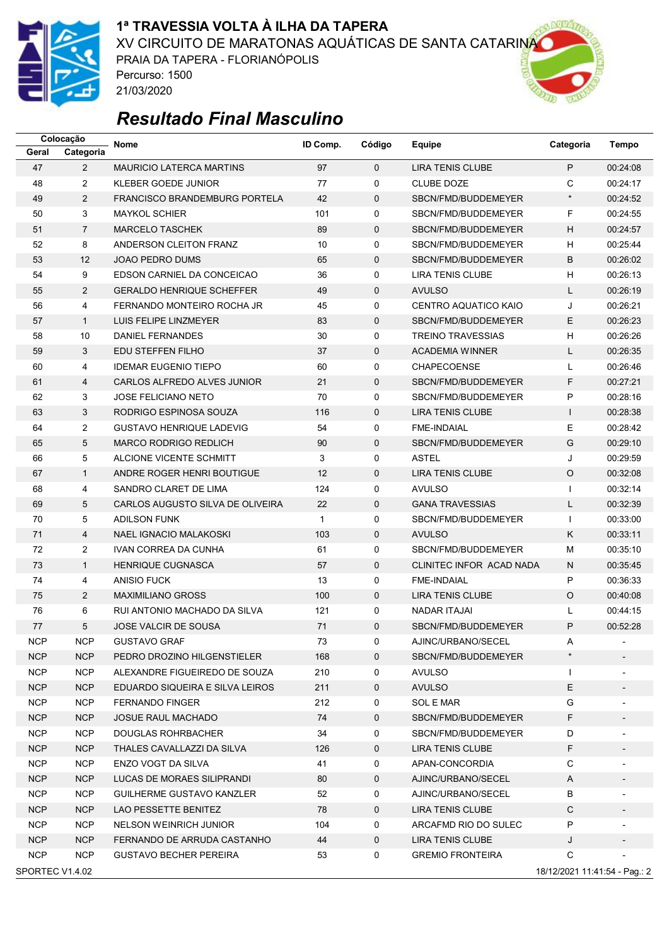

### **1ª TRAVESSIA VOLTA À ILHA DA TAPERA**

XV CIRCUITO DE MARATONAS AQUÁTICAS DE SANTA CATARINA

PRAIA DA TAPERA - FLORIANÓPOLIS Percurso: 1500 21/03/2020



|            | Colocação                                        | Nome                                 | ID Comp. | Código      | Equipe                   | Categoria                 | Tempo                    |  |  |  |
|------------|--------------------------------------------------|--------------------------------------|----------|-------------|--------------------------|---------------------------|--------------------------|--|--|--|
| Geral      | Categoria                                        |                                      |          |             |                          |                           |                          |  |  |  |
| 47         | $\overline{2}$                                   | <b>MAURICIO LATERCA MARTINS</b>      | 97       | $\Omega$    | <b>LIRA TENIS CLUBE</b>  | P                         | 00:24:08                 |  |  |  |
| 48         | $\overline{2}$                                   | <b>KLEBER GOEDE JUNIOR</b>           | 77       | 0           | <b>CLUBE DOZE</b>        | C                         | 00:24:17                 |  |  |  |
| 49         | $\overline{2}$                                   | <b>FRANCISCO BRANDEMBURG PORTELA</b> | 42       | $\mathbf 0$ | SBCN/FMD/BUDDEMEYER      | $\star$                   | 00:24:52                 |  |  |  |
| 50         | 3                                                | <b>MAYKOL SCHIER</b>                 | 101      | 0           | SBCN/FMD/BUDDEMEYER      | F                         | 00:24:55                 |  |  |  |
| 51         | $\overline{7}$                                   | <b>MARCELO TASCHEK</b>               | 89       | $\mathbf 0$ | SBCN/FMD/BUDDEMEYER      | $\boldsymbol{\mathsf{H}}$ | 00:24:57                 |  |  |  |
| 52         | 8                                                | ANDERSON CLEITON FRANZ               | 10       | 0           | SBCN/FMD/BUDDEMEYER      | н                         | 00:25:44                 |  |  |  |
| 53         | 12                                               | <b>JOAO PEDRO DUMS</b>               | 65       | $\mathbf 0$ | SBCN/FMD/BUDDEMEYER      | B                         | 00:26:02                 |  |  |  |
| 54         | 9                                                | EDSON CARNIEL DA CONCEICAO           | 36       | 0           | <b>LIRA TENIS CLUBE</b>  | H                         | 00:26:13                 |  |  |  |
| 55         | $\overline{2}$                                   | <b>GERALDO HENRIQUE SCHEFFER</b>     | 49       | $\mathbf 0$ | <b>AVULSO</b>            | L                         | 00:26:19                 |  |  |  |
| 56         | 4                                                | FERNANDO MONTEIRO ROCHA JR           | 45       | 0           | CENTRO AQUATICO KAIO     | J                         | 00:26:21                 |  |  |  |
| 57         | $\mathbf{1}$                                     | LUIS FELIPE LINZMEYER                | 83       | $\mathbf 0$ | SBCN/FMD/BUDDEMEYER      | E                         | 00:26:23                 |  |  |  |
| 58         | 10                                               | DANIEL FERNANDES                     | 30       | $\mathbf 0$ | <b>TREINO TRAVESSIAS</b> | H                         | 00:26:26                 |  |  |  |
| 59         | 3                                                | EDU STEFFEN FILHO                    | 37       | 0           | <b>ACADEMIA WINNER</b>   | Г                         | 00:26:35                 |  |  |  |
| 60         | 4                                                | <b>IDEMAR EUGENIO TIEPO</b>          | 60       | 0           | <b>CHAPECOENSE</b>       | Г                         | 00:26:46                 |  |  |  |
| 61         | 4                                                | CARLOS ALFREDO ALVES JUNIOR          | 21       | $\mathbf 0$ | SBCN/FMD/BUDDEMEYER      | F                         | 00:27:21                 |  |  |  |
| 62         | 3                                                | <b>JOSE FELICIANO NETO</b>           | 70       | $\mathbf 0$ | SBCN/FMD/BUDDEMEYER      | P                         | 00:28:16                 |  |  |  |
| 63         | 3                                                | RODRIGO ESPINOSA SOUZA               | 116      | $\mathbf 0$ | <b>LIRA TENIS CLUBE</b>  | $\mathsf{I}$              | 00:28:38                 |  |  |  |
| 64         | $\overline{2}$                                   | <b>GUSTAVO HENRIQUE LADEVIG</b>      | 54       | 0           | <b>FME-INDAIAL</b>       | E                         | 00:28:42                 |  |  |  |
| 65         | 5                                                | <b>MARCO RODRIGO REDLICH</b>         | 90       | $\mathbf 0$ | SBCN/FMD/BUDDEMEYER      | G                         | 00:29:10                 |  |  |  |
| 66         | 5                                                | ALCIONE VICENTE SCHMITT              | 3        | 0           | <b>ASTEL</b>             | J                         | 00:29:59                 |  |  |  |
| 67         | $\mathbf{1}$                                     | ANDRE ROGER HENRI BOUTIGUE           | 12       | $\mathbf 0$ | <b>LIRA TENIS CLUBE</b>  | $\circ$                   | 00:32:08                 |  |  |  |
| 68         | 4                                                | SANDRO CLARET DE LIMA                | 124      | 0           | <b>AVULSO</b>            | $\mathbf{I}$              | 00:32:14                 |  |  |  |
| 69         | 5                                                | CARLOS AUGUSTO SILVA DE OLIVEIRA     | 22       | $\mathbf 0$ | <b>GANA TRAVESSIAS</b>   | L                         | 00:32:39                 |  |  |  |
| 70         | 5                                                | <b>ADILSON FUNK</b>                  | 1        | 0           | SBCN/FMD/BUDDEMEYER      | $\mathbf{I}$              | 00:33:00                 |  |  |  |
| 71         | 4                                                | <b>NAEL IGNACIO MALAKOSKI</b>        | 103      | $\mathbf 0$ | <b>AVULSO</b>            | K                         | 00:33:11                 |  |  |  |
| 72         | $\overline{2}$                                   | IVAN CORREA DA CUNHA                 | 61       | 0           | SBCN/FMD/BUDDEMEYER      | M                         | 00:35:10                 |  |  |  |
| 73         | $\mathbf{1}$                                     | <b>HENRIQUE CUGNASCA</b>             | 57       | $\mathbf 0$ | CLINITEC INFOR ACAD NADA | N                         | 00:35:45                 |  |  |  |
| 74         | 4                                                | <b>ANISIO FUCK</b>                   | 13       | 0           | <b>FME-INDAIAL</b>       | P                         | 00:36:33                 |  |  |  |
| 75         | $\overline{2}$                                   | <b>MAXIMILIANO GROSS</b>             | 100      | $\mathbf 0$ | <b>LIRA TENIS CLUBE</b>  | $\circ$                   | 00:40:08                 |  |  |  |
| 76         | 6                                                | RUI ANTONIO MACHADO DA SILVA         | 121      | 0           | <b>NADAR ITAJAI</b>      | Г                         | 00:44:15                 |  |  |  |
| 77         | 5                                                | <b>JOSE VALCIR DE SOUSA</b>          | 71       | $\Omega$    | SBCN/FMD/BUDDEMEYER      | P                         | 00:52:28                 |  |  |  |
| NCP.       | <b>NCP</b>                                       | <b>GUSTAVO GRAF</b>                  | 73       | 0           | AJINC/URBANO/SECEL       | A                         |                          |  |  |  |
| <b>NCP</b> | <b>NCP</b>                                       | PEDRO DROZINO HILGENSTIELER          | 168      | 0           | SBCN/FMD/BUDDEMEYER      | $\star$                   |                          |  |  |  |
| <b>NCP</b> | <b>NCP</b>                                       | ALEXANDRE FIGUEIREDO DE SOUZA        | 210      | 0           | AVULSO                   | $\mathbf{I}$              |                          |  |  |  |
| <b>NCP</b> | <b>NCP</b>                                       | EDUARDO SIQUEIRA E SILVA LEIROS      | 211      | 0           | <b>AVULSO</b>            | E                         |                          |  |  |  |
| <b>NCP</b> | <b>NCP</b>                                       | <b>FERNANDO FINGER</b>               | 212      | 0           | <b>SOL E MAR</b>         | G                         | $\overline{\phantom{a}}$ |  |  |  |
| <b>NCP</b> | <b>NCP</b>                                       | <b>JOSUE RAUL MACHADO</b>            | 74       | $\mathbf 0$ | SBCN/FMD/BUDDEMEYER      | F                         | -                        |  |  |  |
| <b>NCP</b> | NCP                                              | <b>DOUGLAS ROHRBACHER</b>            | 34       | 0           | SBCN/FMD/BUDDEMEYER      | D                         |                          |  |  |  |
| <b>NCP</b> | <b>NCP</b>                                       | THALES CAVALLAZZI DA SILVA           | 126      | 0           | LIRA TENIS CLUBE         | F                         |                          |  |  |  |
| <b>NCP</b> | NCP                                              | ENZO VOGT DA SILVA                   | 41       | 0           | APAN-CONCORDIA           | C                         | $\overline{\phantom{a}}$ |  |  |  |
| <b>NCP</b> | <b>NCP</b>                                       | LUCAS DE MORAES SILIPRANDI           | 80       | $\mathbf 0$ | AJINC/URBANO/SECEL       | A                         | $\overline{\phantom{a}}$ |  |  |  |
| <b>NCP</b> | NCP                                              | GUILHERME GUSTAVO KANZLER            | 52       | 0           | AJINC/URBANO/SECEL       | B                         |                          |  |  |  |
| <b>NCP</b> | <b>NCP</b>                                       | LAO PESSETTE BENITEZ                 | 78       | 0           | <b>LIRA TENIS CLUBE</b>  | С                         |                          |  |  |  |
| <b>NCP</b> | NCP                                              | NELSON WEINRICH JUNIOR               | 104      | 0           | ARCAFMD RIO DO SULEC     | P                         |                          |  |  |  |
| <b>NCP</b> | NCP                                              | FERNANDO DE ARRUDA CASTANHO          | 44       | $\mathbf 0$ | LIRA TENIS CLUBE         | J                         |                          |  |  |  |
| <b>NCP</b> | <b>NCP</b>                                       | <b>GUSTAVO BECHER PEREIRA</b>        | 53       | 0           | <b>GREMIO FRONTEIRA</b>  | C                         |                          |  |  |  |
|            | SPORTEC V1.4.02<br>18/12/2021 11:41:54 - Pag.: 2 |                                      |          |             |                          |                           |                          |  |  |  |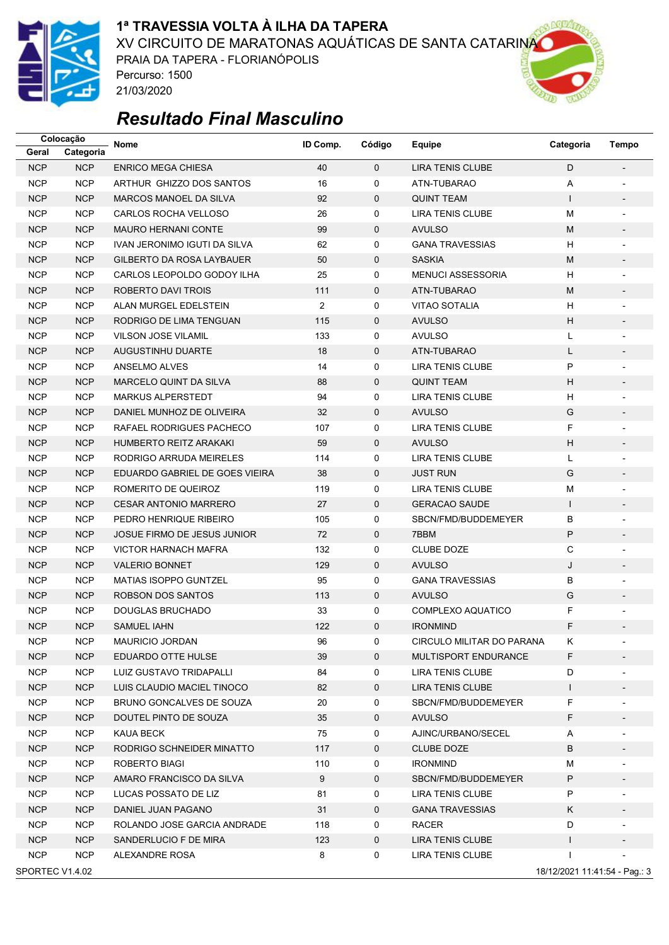

#### **1ª TRAVESSIA VOLTA À ILHA DA TAPERA**

XV CIRCUITO DE MARATONAS AQUÁTICAS DE SANTA CATARINA

PRAIA DA TAPERA - FLORIANÓPOLIS Percurso: 1500 21/03/2020



|                                                  | Colocação  | <b>Nome</b>                    | ID Comp.       | Código       | Equipe                    | Categoria    | Tempo                    |  |  |
|--------------------------------------------------|------------|--------------------------------|----------------|--------------|---------------------------|--------------|--------------------------|--|--|
| Geral                                            | Categoria  |                                |                |              |                           |              |                          |  |  |
| <b>NCP</b>                                       | <b>NCP</b> | <b>ENRICO MEGA CHIESA</b>      | 40             | $\mathbf{0}$ | <b>LIRA TENIS CLUBE</b>   | D            |                          |  |  |
| <b>NCP</b>                                       | <b>NCP</b> | ARTHUR GHIZZO DOS SANTOS       | 16             | 0            | ATN-TUBARAO               | Α            | $\overline{a}$           |  |  |
| <b>NCP</b>                                       | <b>NCP</b> | <b>MARCOS MANOEL DA SILVA</b>  | 92             | 0            | <b>QUINT TEAM</b>         | $\mathbf{I}$ | $\overline{\phantom{0}}$ |  |  |
| <b>NCP</b>                                       | <b>NCP</b> | CARLOS ROCHA VELLOSO           | 26             | 0            | LIRA TENIS CLUBE          | M            | $\overline{a}$           |  |  |
| <b>NCP</b>                                       | <b>NCP</b> | <b>MAURO HERNANI CONTE</b>     | 99             | 0            | <b>AVULSO</b>             | M            |                          |  |  |
| <b>NCP</b>                                       | <b>NCP</b> | IVAN JERONIMO IGUTI DA SILVA   | 62             | 0            | <b>GANA TRAVESSIAS</b>    | н            | $\overline{a}$           |  |  |
| <b>NCP</b>                                       | <b>NCP</b> | GILBERTO DA ROSA LAYBAUER      | 50             | 0            | <b>SASKIA</b>             | M            | $\overline{a}$           |  |  |
| <b>NCP</b>                                       | <b>NCP</b> | CARLOS LEOPOLDO GODOY ILHA     | 25             | 0            | <b>MENUCI ASSESSORIA</b>  | н            | $\overline{a}$           |  |  |
| <b>NCP</b>                                       | <b>NCP</b> | ROBERTO DAVI TROIS             | 111            | 0            | ATN-TUBARAO               | M            |                          |  |  |
| <b>NCP</b>                                       | <b>NCP</b> | ALAN MURGEL EDELSTEIN          | $\overline{2}$ | 0            | <b>VITAO SOTALIA</b>      | н            | $\overline{\phantom{a}}$ |  |  |
| <b>NCP</b>                                       | <b>NCP</b> | RODRIGO DE LIMA TENGUAN        | 115            | 0            | <b>AVULSO</b>             | н            | $\overline{\phantom{a}}$ |  |  |
| <b>NCP</b>                                       | <b>NCP</b> | <b>VILSON JOSE VILAMIL</b>     | 133            | 0            | <b>AVULSO</b>             | Г            |                          |  |  |
| <b>NCP</b>                                       | <b>NCP</b> | <b>AUGUSTINHU DUARTE</b>       | 18             | 0            | ATN-TUBARAO               | Г            |                          |  |  |
| <b>NCP</b>                                       | <b>NCP</b> | ANSELMO ALVES                  | 14             | 0            | LIRA TENIS CLUBE          | P            | $\overline{a}$           |  |  |
| <b>NCP</b>                                       | <b>NCP</b> | MARCELO QUINT DA SILVA         | 88             | 0            | <b>QUINT TEAM</b>         | н            | $\overline{\phantom{a}}$ |  |  |
| <b>NCP</b>                                       | <b>NCP</b> | <b>MARKUS ALPERSTEDT</b>       | 94             | 0            | <b>LIRA TENIS CLUBE</b>   | H            |                          |  |  |
| <b>NCP</b>                                       | <b>NCP</b> | DANIEL MUNHOZ DE OLIVEIRA      | 32             | 0            | <b>AVULSO</b>             | G            |                          |  |  |
| <b>NCP</b>                                       | <b>NCP</b> | RAFAEL RODRIGUES PACHECO       | 107            | 0            | <b>LIRA TENIS CLUBE</b>   | F            | $\overline{a}$           |  |  |
| <b>NCP</b>                                       | <b>NCP</b> | HUMBERTO REITZ ARAKAKI         | 59             | 0            | <b>AVULSO</b>             | H            | $\overline{\phantom{a}}$ |  |  |
| <b>NCP</b>                                       | <b>NCP</b> | RODRIGO ARRUDA MEIRELES        | 114            | 0            | <b>LIRA TENIS CLUBE</b>   | Г            |                          |  |  |
| <b>NCP</b>                                       | <b>NCP</b> | EDUARDO GABRIEL DE GOES VIEIRA | 38             | 0            | <b>JUST RUN</b>           | G            | $\overline{\phantom{a}}$ |  |  |
| <b>NCP</b>                                       | <b>NCP</b> | ROMERITO DE QUEIROZ            | 119            | 0            | <b>LIRA TENIS CLUBE</b>   | M            | $\overline{\phantom{a}}$ |  |  |
| <b>NCP</b>                                       | <b>NCP</b> | <b>CESAR ANTONIO MARRERO</b>   | 27             | 0            | <b>GERACAO SAUDE</b>      | $\mathbf{I}$ | $\overline{\phantom{a}}$ |  |  |
| <b>NCP</b>                                       | <b>NCP</b> | PEDRO HENRIQUE RIBEIRO         | 105            | 0            | SBCN/FMD/BUDDEMEYER       | B            |                          |  |  |
| <b>NCP</b>                                       | <b>NCP</b> | JOSUE FIRMO DE JESUS JUNIOR    | 72             | 0            | 7BBM                      | P            | $\overline{\phantom{0}}$ |  |  |
| <b>NCP</b>                                       | <b>NCP</b> | <b>VICTOR HARNACH MAFRA</b>    | 132            | 0            | <b>CLUBE DOZE</b>         | С            | $\overline{a}$           |  |  |
| <b>NCP</b>                                       | <b>NCP</b> | <b>VALERIO BONNET</b>          | 129            | 0            | <b>AVULSO</b>             | J            |                          |  |  |
| <b>NCP</b>                                       | <b>NCP</b> | <b>MATIAS ISOPPO GUNTZEL</b>   | 95             | 0            | <b>GANA TRAVESSIAS</b>    | B            |                          |  |  |
| <b>NCP</b>                                       | <b>NCP</b> | ROBSON DOS SANTOS              | 113            | 0            | <b>AVULSO</b>             | G            | $\overline{\phantom{0}}$ |  |  |
| <b>NCP</b>                                       | <b>NCP</b> | <b>DOUGLAS BRUCHADO</b>        | 33             | 0            | COMPLEXO AQUATICO         | F            |                          |  |  |
| <b>NCP</b>                                       | <b>NCP</b> | <b>SAMUEL IAHN</b>             | 122            | $\mathbf{0}$ | <b>IRONMIND</b>           | F            |                          |  |  |
| <b>NCP</b>                                       | <b>NCP</b> | MAURICIO JORDAN                | 96             | 0            | CIRCULO MILITAR DO PARANA | ĸ,           |                          |  |  |
| <b>NCP</b>                                       | <b>NCP</b> | EDUARDO OTTE HULSE             | 39             | 0            | MULTISPORT ENDURANCE      | F            |                          |  |  |
| <b>NCP</b>                                       | <b>NCP</b> | LUIZ GUSTAVO TRIDAPALLI        | 84             | 0            | LIRA TENIS CLUBE          | D            |                          |  |  |
| <b>NCP</b>                                       | <b>NCP</b> | LUIS CLAUDIO MACIEL TINOCO     | 82             | 0            | LIRA TENIS CLUBE          | $\mathsf{I}$ |                          |  |  |
| <b>NCP</b>                                       | <b>NCP</b> | BRUNO GONCALVES DE SOUZA       | 20             | 0            | SBCN/FMD/BUDDEMEYER       | F            | -                        |  |  |
| <b>NCP</b>                                       | <b>NCP</b> | DOUTEL PINTO DE SOUZA          | 35             | 0            | <b>AVULSO</b>             | F            | $\overline{\phantom{a}}$ |  |  |
| <b>NCP</b>                                       | <b>NCP</b> | KAUA BECK                      | 75             | 0            | AJINC/URBANO/SECEL        | Α            |                          |  |  |
| <b>NCP</b>                                       | <b>NCP</b> | RODRIGO SCHNEIDER MINATTO      | 117            | 0            | <b>CLUBE DOZE</b>         | В            |                          |  |  |
| <b>NCP</b>                                       | <b>NCP</b> | ROBERTO BIAGI                  | 110            | 0            | <b>IRONMIND</b>           | м            | $\overline{\phantom{a}}$ |  |  |
| <b>NCP</b>                                       | <b>NCP</b> | AMARO FRANCISCO DA SILVA       | 9              | 0            | SBCN/FMD/BUDDEMEYER       | P            | $\overline{\phantom{a}}$ |  |  |
| <b>NCP</b>                                       | <b>NCP</b> | LUCAS POSSATO DE LIZ           | 81             | 0            | LIRA TENIS CLUBE          | Ρ            |                          |  |  |
| <b>NCP</b>                                       | <b>NCP</b> | DANIEL JUAN PAGANO             | 31             | 0            | <b>GANA TRAVESSIAS</b>    | K            |                          |  |  |
| <b>NCP</b>                                       | <b>NCP</b> | ROLANDO JOSE GARCIA ANDRADE    | 118            | 0            | <b>RACER</b>              | D            |                          |  |  |
| <b>NCP</b>                                       | <b>NCP</b> | SANDERLUCIO F DE MIRA          | 123            | 0            | LIRA TENIS CLUBE          | L            | $\overline{\phantom{a}}$ |  |  |
| <b>NCP</b>                                       | <b>NCP</b> | ALEXANDRE ROSA                 | 8              | 0            | LIRA TENIS CLUBE          |              |                          |  |  |
| SPORTEC V1.4.02<br>18/12/2021 11:41:54 - Pag.: 3 |            |                                |                |              |                           |              |                          |  |  |